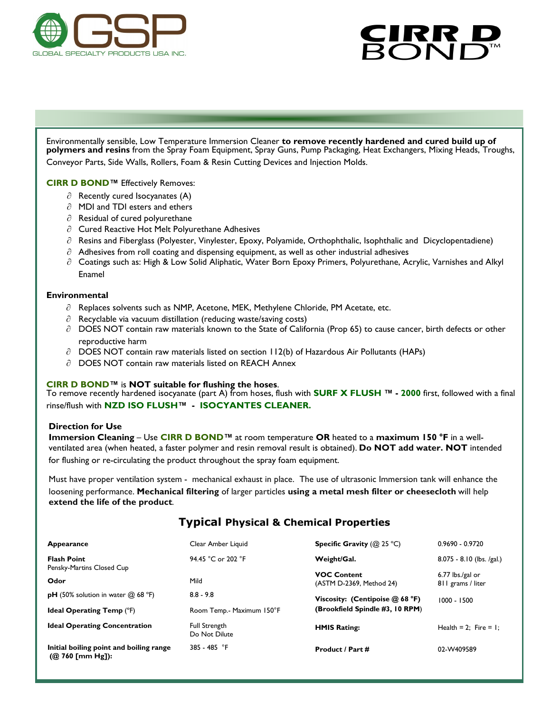



Environmentally sensible, Low Temperature Immersion Cleaner **to remove recently hardened and cured build up of polymers and resins** from the Spray Foam Equipment, Spray Guns, Pump Packaging, Heat Exchangers, Mixing Heads, Troughs, Conveyor Parts, Side Walls, Rollers, Foam & Resin Cutting Devices and Injection Molds.

**CIRR D BOND™** Effectively Removes:

- $\partial$  Recently cured Isocyanates (A)
- $\partial$  MDI and TDI esters and ethers
- $\partial$  Residual of cured polyurethane
- $\partial$  Cured Reactive Hot Melt Polyurethane Adhesives
- $\partial$  Resins and Fiberglass (Polyester, Vinylester, Epoxy, Polyamide, Orthophthalic, Isophthalic and Dicyclopentadiene)
- $\partial$  Adhesives from roll coating and dispensing equipment, as well as other industrial adhesives
- $\partial$  Coatings such as: High & Low Solid Aliphatic, Water Born Epoxy Primers, Polyurethane, Acrylic, Varnishes and Alkyl Enamel

### **Environmental**

- $\partial$  Replaces solvents such as NMP, Acetone, MEK, Methylene Chloride, PM Acetate, etc.
- $\partial$  Recyclable via vacuum distillation (reducing waste/saving costs)
- $\partial$  DOES NOT contain raw materials known to the State of California (Prop 65) to cause cancer, birth defects or other reproductive harm
- $\partial$  DOES NOT contain raw materials listed on section 112(b) of Hazardous Air Pollutants (HAPs)
- $\partial$  DOES NOT contain raw materials listed on REACH Annex

## **CIRR D BOND™** is **NOT suitable for flushing the hoses**.

To remove recently hardened isocyanate (part A) from hoses, flush with **[SURF X FLUSH](http://r20.rs6.net/tn.jsp?f=001GxjAzyFAvlxE-0uVUNVCCGhyMw5N91o2sgi6IF7SgpW2nliuqfiKAKXKYCK_2DB5X9rnQ086dQnJb9HGbsAg5IquLFzblyiTUEKK8tNzDQTYCEBTcOTHNNix9V3HPTXHdA5ENWUqvbqzSBXoUD1YMAuJOg6txf_MqtRGbZHVRATdA50cMbS9dU49mGZULaXSrxuCOeq9cDA=&c=TbprgM2ViUI-or2jk9UFE) ™ - 2000** first, followed with a final rinse/flush with **[NZD ISO FLUSH](http://r20.rs6.net/tn.jsp?f=001GxjAzyFAvlxE-0uVUNVCCGhyMw5N91o2sgi6IF7SgpW2nliuqfiKAM-QUzAKtLq8WZ3xFdxKlEUeEf4lDg-7HfmGpkxg8MSr-fC_K7HlhAjZp6zeB8srOdC2wUlM2dQIgHt5w6JcwFwARw6XPGTuYnhHi5bzJkaAbsTsXFG-NNqcjYJ2-3Q5z1jPTIk3lWNvLrIIQU53ZtUv6bPL1yvpSESPgyC1HC2F&c=T)™ - [ISOCYANTES CLEANER.](http://r20.rs6.net/tn.jsp?f=001GxjAzyFAvlxE-0uVUNVCCGhyMw5N91o2sgi6IF7SgpW2nliuqfiKAM-QUzAKtLq8WZ3xFdxKlEUeEf4lDg-7HfmGpkxg8MSr-fC_K7HlhAjZp6zeB8srOdC2wUlM2dQIgHt5w6JcwFwARw6XPGTuYnhHi5bzJkaAbsTsXFG-NNqcjYJ2-3Q5z1jPTIk3lWNvLrIIQU53ZtUv6bPL1yvpSESPgyC1HC2F&c=T)** 

### **Direction for Use**

**Immersion Cleaning** – Use **CIRR D BOND™** at room temperature **OR** heated to a **maximum 150 °F** in a wellventilated area (when heated, a faster polymer and resin removal result is obtained). **Do NOT add water. NOT** intended for flushing or re-circulating the product throughout the spray foam equipment.

Must have proper ventilation system - mechanical exhaust in place. The use of ultrasonic Immersion tank will enhance the loosening performance. **Mechanical filtering** of larger particles **using a metal mesh filter or cheesecloth** will help **extend the life of the product**.

# **Typical Physical & Chemical Properties**

| Appearance                                                     | Clear Amber Liquid                    | <b>Specific Gravity</b> ( $@$ 25 °C)           | $0.9690 - 0.9720$                       |
|----------------------------------------------------------------|---------------------------------------|------------------------------------------------|-----------------------------------------|
| <b>Flash Point</b><br>Pensky-Martins Closed Cup                | 94.45 °C or 202 °F                    | Weight/Gal.                                    | $8.075 - 8.10$ (lbs. /gal.)             |
| Odor                                                           | Mild                                  | <b>VOC Content</b><br>(ASTM D-2369, Method 24) | $6.77$ lbs./gal or<br>811 grams / liter |
| <b>pH</b> (50% solution in water $\omega$ 68 °F)               | $8.8 - 9.8$                           | Viscosity: (Centipoise $(0, 68 \text{ °F})$    | $1000 - 1500$                           |
| <b>Ideal Operating Temp (°F)</b>                               | Room Temp.- Maximum 150°F             | (Brookfield Spindle #3, 10 RPM)                |                                         |
| <b>Ideal Operating Concentration</b>                           | <b>Full Strength</b><br>Do Not Dilute | <b>HMIS Rating:</b>                            | Health = 2: Fire = 1:                   |
| Initial boiling point and boiling range<br>$(Q)$ 760 [mm Hg]): | 385 - 485 °F                          | <b>Product / Part #</b>                        | 02-W409589                              |